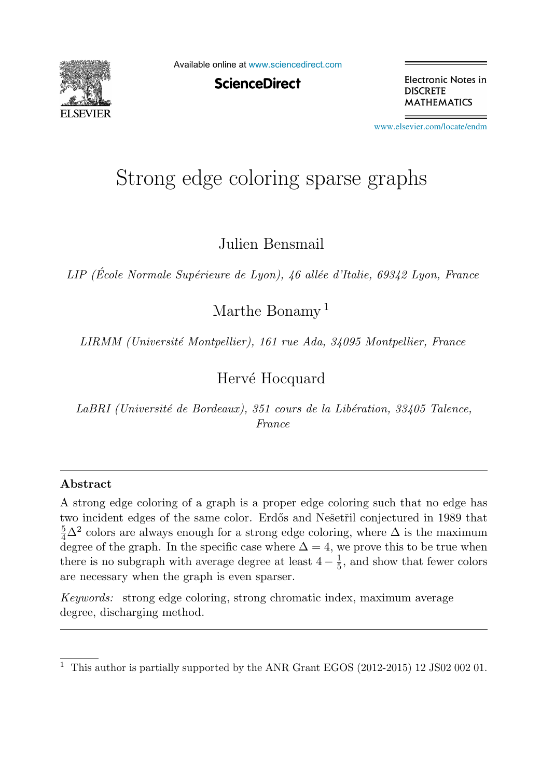

Available online at [www.sciencedirect.com](http://www.sciencedirect.com)

**ScienceDirect** 

Electronic Notes in **DISCRETE MATHEMATICS** 

[www.elsevier.com/locate/endm](http://www.elsevier.com/locate/endm)

# Strong edge coloring sparse graphs

Julien Bensmail

*LIP (Ecole Normale Sup´ ´ erieure de Lyon), 46 all´ee d'Italie, 69342 Lyon, France*

Marthe Bonamy<sup>1</sup>

*LIRMM (Universit´e Montpellier), 161 rue Ada, 34095 Montpellier, France*

## Hervé Hocquard

*LaBRI (Universit´e de Bordeaux), 351 cours de la Lib´eration, 33405 Talence, France*

#### **Abstract**

A strong edge coloring of a graph is a proper edge coloring such that no edge has two incident edges of the same color. Erdős and Nešetřil conjectured in 1989 that  $\frac{5}{4}\Delta^2$  colors are always enough for a strong edge coloring, where  $\Delta$  is the maximum degree of the graph. In the specific case where  $\Delta = 4$ , we prove this to be true when there is no subgraph with average degree at least  $4 - \frac{1}{5}$ , and show that fewer colors are necessary when the graph is even sparser.

*Keywords:* strong edge coloring, strong chromatic index, maximum average degree, discharging method.

<sup>&</sup>lt;sup>1</sup> This author is partially supported by the ANR Grant EGOS (2012-2015) 12 JS02 002 01.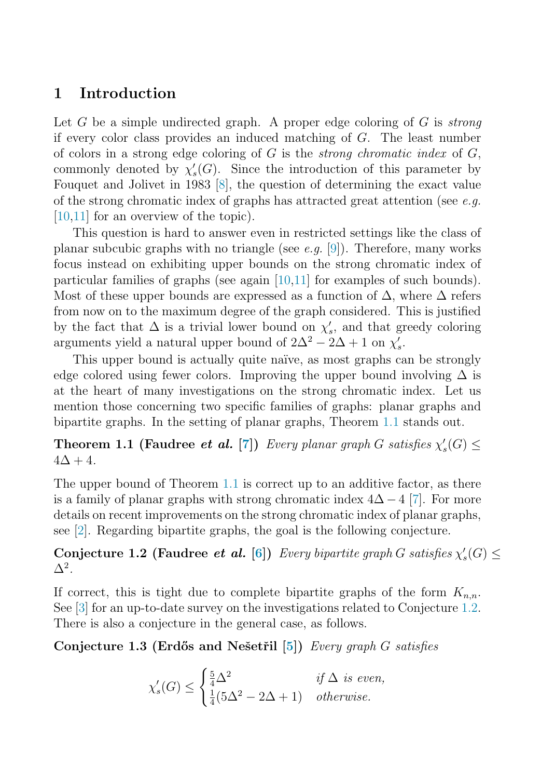## <span id="page-1-0"></span>**1 Introduction**

Let G be a simple undirected graph. A proper edge coloring of G is *strong* if every color class provides an induced matching of G. The least number of colors in a strong edge coloring of  $G$  is the *strong chromatic index* of  $G$ , commonly denoted by  $\chi'_{s}(G)$ . Since the introduction of this parameter by Fouquet and Jolivet in 1983 [\[8\]](#page-5-0), the question of determining the exact value of the strong chromatic index of graphs has attracted great attention (see e.g. [\[10,11\]](#page-5-0) for an overview of the topic).

This question is hard to answer even in restricted settings like the class of planar subcubic graphs with no triangle (see e.g. [\[9\]](#page-5-0)). Therefore, many works focus instead on exhibiting upper bounds on the strong chromatic index of particular families of graphs (see again [\[10,11\]](#page-5-0) for examples of such bounds). Most of these upper bounds are expressed as a function of  $\Delta$ , where  $\Delta$  refers from now on to the maximum degree of the graph considered. This is justified by the fact that  $\Delta$  is a trivial lower bound on  $\chi'_{s}$ , and that greedy coloring arguments yield a natural upper bound of  $2\Delta^2 - 2\Delta + 1$  on  $\chi'_s$ .

This upper bound is actually quite naïve, as most graphs can be strongly edge colored using fewer colors. Improving the upper bound involving  $\Delta$  is at the heart of many investigations on the strong chromatic index. Let us mention those concerning two specific families of graphs: planar graphs and bipartite graphs. In the setting of planar graphs, Theorem 1.1 stands out.

**Theorem 1.1 (Faudree** *et al.* [\[7\]](#page-5-0)) Every planar graph G satisfies  $\chi'_{s}(G) \leq$  $4\Delta + 4$ .

The upper bound of Theorem 1.1 is correct up to an additive factor, as there is a family of planar graphs with strong chromatic index  $4\Delta - 4$  [\[7\]](#page-5-0). For more details on recent improvements on the strong chromatic index of planar graphs, see [\[2\]](#page-5-0). Regarding bipartite graphs, the goal is the following conjecture.

**Conjecture 1.2 (Faudree** *et al.* [\[6\]](#page-5-0)) Every bipartite graph G satisfies  $\chi'_{s}(G) \le$  $\Delta^2$ .

If correct, this is tight due to complete bipartite graphs of the form  $K_{n,n}$ . See [\[3\]](#page-5-0) for an up-to-date survey on the investigations related to Conjecture 1.2. There is also a conjecture in the general case, as follows.

**Conjecture 1.3 (Erd˝os and Neˇsetˇril [\[5\]](#page-5-0))** Every graph G satisfies

$$
\chi'_s(G) \le \begin{cases} \frac{5}{4}\Delta^2 & \text{if } \Delta \text{ is even,} \\ \frac{1}{4}(5\Delta^2 - 2\Delta + 1) & \text{otherwise.} \end{cases}
$$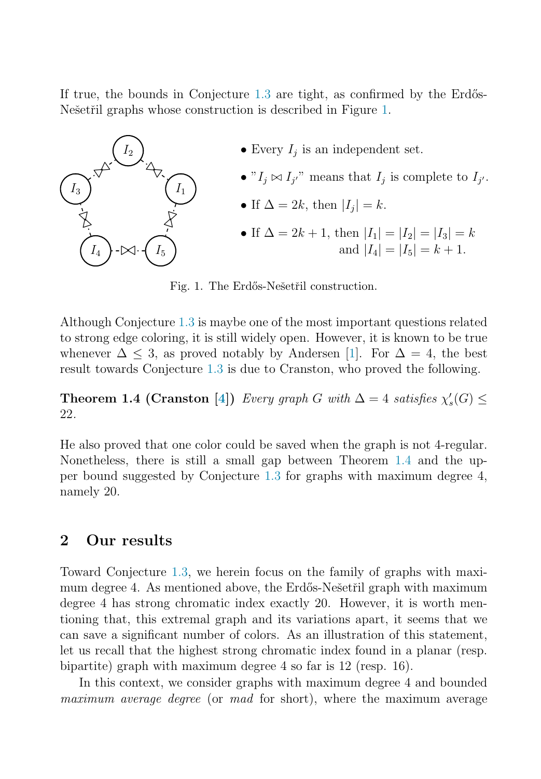If true, the bounds in Conjecture  $1.3$  are tight, as confirmed by the Erdős-Nešetřil graphs whose construction is described in Figure 1.



Fig. 1. The Erdős-Nešetřil construction.

Although Conjecture [1.3](#page-1-0) is maybe one of the most important questions related to strong edge coloring, it is still widely open. However, it is known to be true whenever  $\Delta \leq 3$ , as proved notably by Andersen [\[1\]](#page-5-0). For  $\Delta = 4$ , the best result towards Conjecture [1.3](#page-1-0) is due to Cranston, who proved the following.

**Theorem 1.4 (Cranston [\[4\]](#page-5-0))** Every graph G with  $\Delta = 4$  satisfies  $\chi'_{s}(G) \leq$ 22.

He also proved that one color could be saved when the graph is not 4-regular. Nonetheless, there is still a small gap between Theorem 1.4 and the upper bound suggested by Conjecture [1.3](#page-1-0) for graphs with maximum degree 4, namely 20.

#### **2 Our results**

Toward Conjecture [1.3,](#page-1-0) we herein focus on the family of graphs with maximum degree 4. As mentioned above, the Erdős-Nešetřil graph with maximum degree 4 has strong chromatic index exactly 20. However, it is worth mentioning that, this extremal graph and its variations apart, it seems that we can save a significant number of colors. As an illustration of this statement, let us recall that the highest strong chromatic index found in a planar (resp. bipartite) graph with maximum degree 4 so far is 12 (resp. 16).

In this context, we consider graphs with maximum degree 4 and bounded maximum average degree (or mad for short), where the maximum average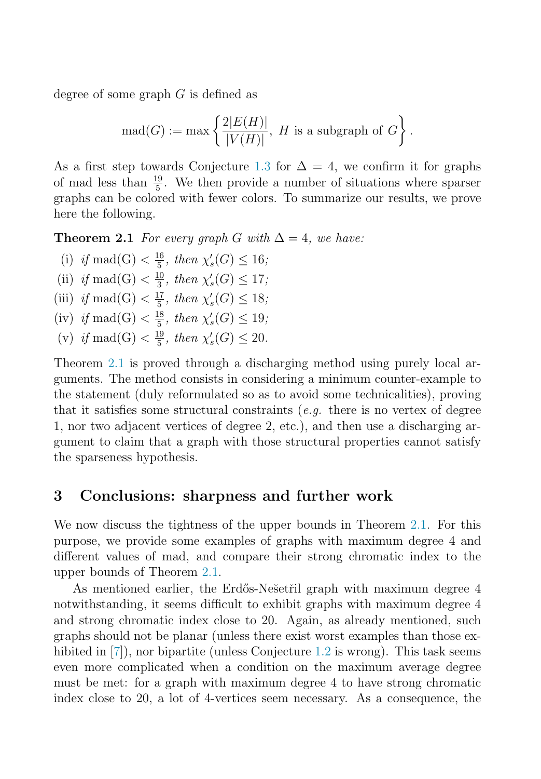<span id="page-3-0"></span>degree of some graph G is defined as

$$
\mathrm{mad}(G) := \max \left\{ \frac{2|E(H)|}{|V(H)|}, H \text{ is a subgraph of } G \right\}.
$$

As a first step towards Conjecture [1.3](#page-1-0) for  $\Delta = 4$ , we confirm it for graphs of mad less than  $\frac{19}{5}$ . We then provide a number of situations where sparser graphs can be colored with fewer colors. To summarize our results, we prove here the following.

**Theorem 2.1** For every graph G with  $\Delta = 4$ , we have:

- (i) if mad(G)  $\lt \frac{16}{5}$ , then  $\chi'_{s}(G) \leq 16$ ;
- (ii) if mad(G)  $\lt \frac{10}{3}$ , then  $\chi'_{s}(G) \le 17$ ;
- (iii) if mad(G)  $\langle \frac{17}{5}, \text{ then } \chi'_{s}(G) \leq 18;$
- (iv) if mad(G)  $\lt \frac{18}{5}$ , then  $\chi'_{s}(G) \leq 19$ ;
- (v) if mad(G)  $\lt \frac{19}{5}$ , then  $\chi'_{s}(G) \leq 20$ .

Theorem 2.1 is proved through a discharging method using purely local arguments. The method consists in considering a minimum counter-example to the statement (duly reformulated so as to avoid some technicalities), proving that it satisfies some structural constraints (*e.g.* there is no vertex of degree 1, nor two adjacent vertices of degree 2, etc.), and then use a discharging argument to claim that a graph with those structural properties cannot satisfy the sparseness hypothesis.

### **3 Conclusions: sharpness and further work**

We now discuss the tightness of the upper bounds in Theorem 2.1. For this purpose, we provide some examples of graphs with maximum degree 4 and different values of mad, and compare their strong chromatic index to the upper bounds of Theorem 2.1.

As mentioned earlier, the Erdős-Nešetřil graph with maximum degree 4 notwithstanding, it seems difficult to exhibit graphs with maximum degree 4 and strong chromatic index close to 20. Again, as already mentioned, such graphs should not be planar (unless there exist worst examples than those ex-hibited in [\[7\]](#page-5-0)), nor bipartite (unless Conjecture [1.2](#page-1-0) is wrong). This task seems even more complicated when a condition on the maximum average degree must be met: for a graph with maximum degree 4 to have strong chromatic index close to 20, a lot of 4-vertices seem necessary. As a consequence, the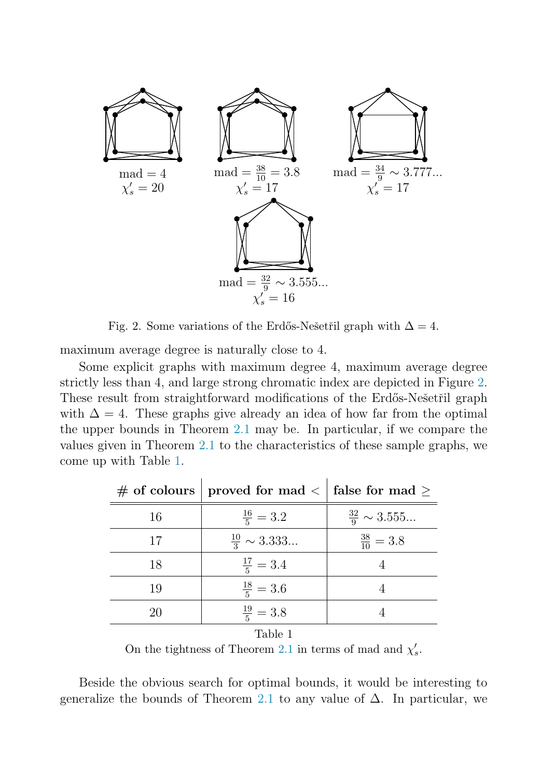

Fig. 2. Some variations of the Erdős-Nešetřil graph with  $\Delta = 4$ .

maximum average degree is naturally close to 4.

Some explicit graphs with maximum degree 4, maximum average degree strictly less than 4, and large strong chromatic index are depicted in Figure 2. These result from straightforward modifications of the Erdős-Ne $\check{\rm set}$ ril graph with  $\Delta = 4$ . These graphs give already an idea of how far from the optimal the upper bounds in Theorem [2.1](#page-3-0) may be. In particular, if we compare the values given in Theorem [2.1](#page-3-0) to the characteristics of these sample graphs, we come up with Table 1.

|    | # of colours   proved for mad $\langle \rangle$   false for mad $\ge$ |                           |
|----|-----------------------------------------------------------------------|---------------------------|
| 16 | $\frac{16}{5} = 3.2$                                                  | $\frac{32}{9} \sim 3.555$ |
| 17 | $\frac{10}{3} \sim 3.333$                                             | $\frac{38}{10} = 3.8$     |
| 18 | $\frac{17}{5} = 3.4$                                                  |                           |
| 19 | $\frac{18}{5} = 3.6$                                                  |                           |
| 20 | $\frac{19}{5} = 3.8$                                                  |                           |

#### Table 1

On the tightness of Theorem [2.1](#page-3-0) in terms of mad and  $\chi'_{s}$ .

Beside the obvious search for optimal bounds, it would be interesting to generalize the bounds of Theorem [2.1](#page-3-0) to any value of  $\Delta$ . In particular, we